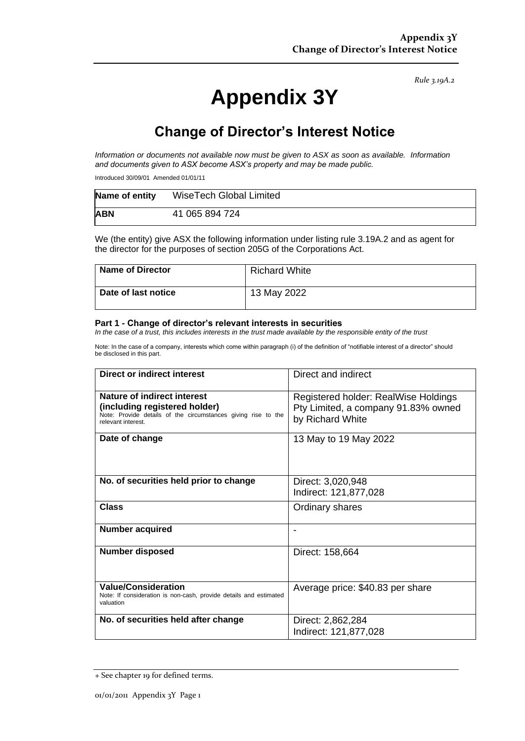*Rule 3.19A.2*

# **Appendix 3Y**

## **Change of Director's Interest Notice**

*Information or documents not available now must be given to ASX as soon as available. Information and documents given to ASX become ASX's property and may be made public.*

Introduced 30/09/01 Amended 01/01/11

| Name of entity | WiseTech Global Limited |
|----------------|-------------------------|
| <b>ABN</b>     | 41 065 894 724          |

We (the entity) give ASX the following information under listing rule 3.19A.2 and as agent for the director for the purposes of section 205G of the Corporations Act.

| Name of Director           | <b>Richard White</b> |
|----------------------------|----------------------|
| <b>Date of last notice</b> | 13 May 2022          |

#### **Part 1 - Change of director's relevant interests in securities**

*In the case of a trust, this includes interests in the trust made available by the responsible entity of the trust*

Note: In the case of a company, interests which come within paragraph (i) of the definition of "notifiable interest of a director" should be disclosed in this part.

| <b>Direct or indirect interest</b>                                                                                                                  | Direct and indirect                                                                             |  |
|-----------------------------------------------------------------------------------------------------------------------------------------------------|-------------------------------------------------------------------------------------------------|--|
| Nature of indirect interest<br>(including registered holder)<br>Note: Provide details of the circumstances giving rise to the<br>relevant interest. | Registered holder: RealWise Holdings<br>Pty Limited, a company 91.83% owned<br>by Richard White |  |
| Date of change                                                                                                                                      | 13 May to 19 May 2022                                                                           |  |
| No. of securities held prior to change                                                                                                              | Direct: 3,020,948<br>Indirect: 121,877,028                                                      |  |
| Class                                                                                                                                               | Ordinary shares                                                                                 |  |
| <b>Number acquired</b>                                                                                                                              |                                                                                                 |  |
| <b>Number disposed</b>                                                                                                                              | Direct: 158,664                                                                                 |  |
| <b>Value/Consideration</b><br>Note: If consideration is non-cash, provide details and estimated<br>valuation                                        | Average price: \$40.83 per share                                                                |  |
| No. of securities held after change                                                                                                                 | Direct: 2,862,284<br>Indirect: 121,877,028                                                      |  |

<sup>+</sup> See chapter 19 for defined terms.